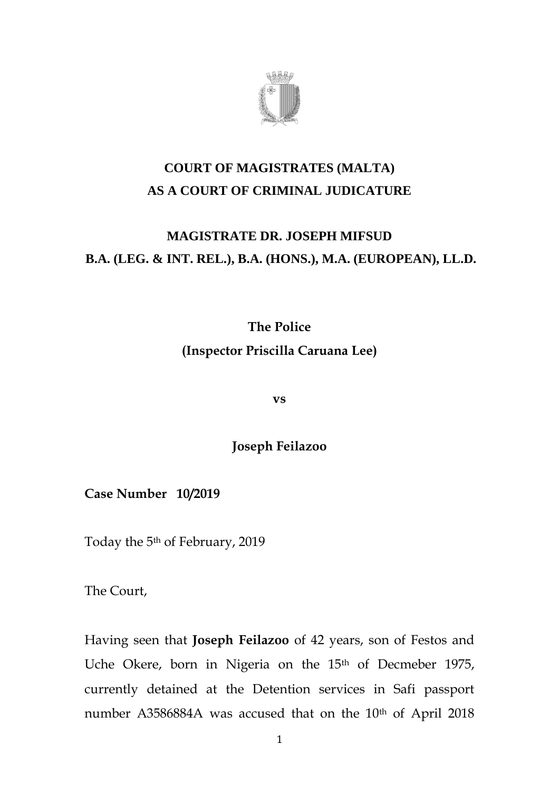

## **COURT OF MAGISTRATES (MALTA) AS A COURT OF CRIMINAL JUDICATURE**

### **MAGISTRATE DR. JOSEPH MIFSUD B.A. (LEG. & INT. REL.), B.A. (HONS.), M.A. (EUROPEAN), LL.D.**

# **The Police (Inspector Priscilla Caruana Lee)**

**vs**

**Joseph Feilazoo**

**Case Number 10/2019**

Today the 5th of February, 2019

The Court,

Having seen that **Joseph Feilazoo** of 42 years, son of Festos and Uche Okere, born in Nigeria on the 15<sup>th</sup> of Decmeber 1975, currently detained at the Detention services in Safi passport number A3586884A was accused that on the 10<sup>th</sup> of April 2018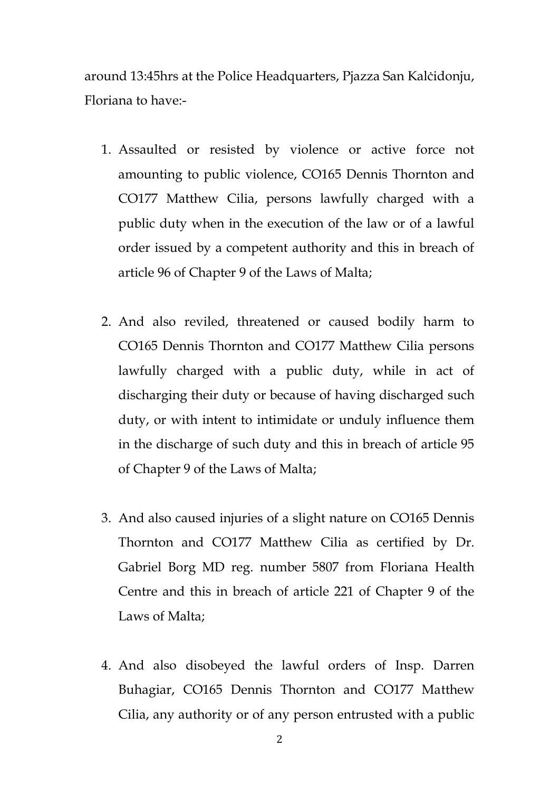around 13:45hrs at the Police Headquarters, Pjazza San Kalċidonju, Floriana to have:-

- 1. Assaulted or resisted by violence or active force not amounting to public violence, CO165 Dennis Thornton and CO177 Matthew Cilia, persons lawfully charged with a public duty when in the execution of the law or of a lawful order issued by a competent authority and this in breach of article 96 of Chapter 9 of the Laws of Malta;
- 2. And also reviled, threatened or caused bodily harm to CO165 Dennis Thornton and CO177 Matthew Cilia persons lawfully charged with a public duty, while in act of discharging their duty or because of having discharged such duty, or with intent to intimidate or unduly influence them in the discharge of such duty and this in breach of article 95 of Chapter 9 of the Laws of Malta;
- 3. And also caused injuries of a slight nature on CO165 Dennis Thornton and CO177 Matthew Cilia as certified by Dr. Gabriel Borg MD reg. number 5807 from Floriana Health Centre and this in breach of article 221 of Chapter 9 of the Laws of Malta;
- 4. And also disobeyed the lawful orders of Insp. Darren Buhagiar, CO165 Dennis Thornton and CO177 Matthew Cilia, any authority or of any person entrusted with a public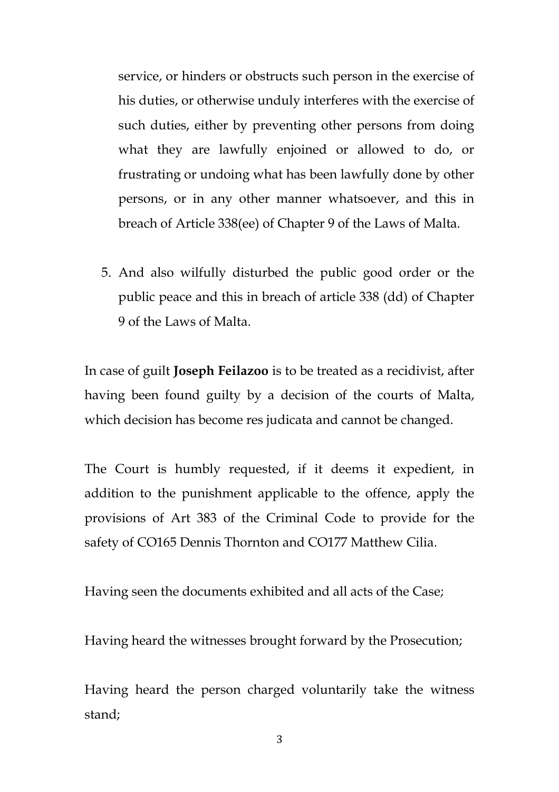service, or hinders or obstructs such person in the exercise of his duties, or otherwise unduly interferes with the exercise of such duties, either by preventing other persons from doing what they are lawfully enjoined or allowed to do, or frustrating or undoing what has been lawfully done by other persons, or in any other manner whatsoever, and this in breach of Article 338(ee) of Chapter 9 of the Laws of Malta.

5. And also wilfully disturbed the public good order or the public peace and this in breach of article 338 (dd) of Chapter 9 of the Laws of Malta.

In case of guilt **Joseph Feilazoo** is to be treated as a recidivist, after having been found guilty by a decision of the courts of Malta, which decision has become res judicata and cannot be changed.

The Court is humbly requested, if it deems it expedient, in addition to the punishment applicable to the offence, apply the provisions of Art 383 of the Criminal Code to provide for the safety of CO165 Dennis Thornton and CO177 Matthew Cilia.

Having seen the documents exhibited and all acts of the Case;

Having heard the witnesses brought forward by the Prosecution;

Having heard the person charged voluntarily take the witness stand;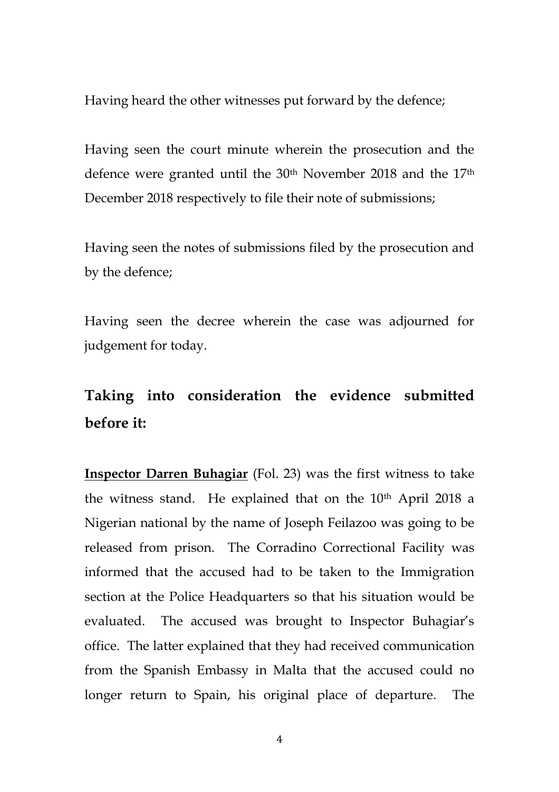Having heard the other witnesses put forward by the defence;

Having seen the court minute wherein the prosecution and the defence were granted until the 30<sup>th</sup> November 2018 and the 17<sup>th</sup> December 2018 respectively to file their note of submissions;

Having seen the notes of submissions filed by the prosecution and by the defence;

Having seen the decree wherein the case was adjourned for judgement for today.

# **Taking into consideration the evidence submitted before it:**

**Inspector Darren Buhagiar** (Fol. 23) was the first witness to take the witness stand. He explained that on the  $10<sup>th</sup>$  April 2018 a Nigerian national by the name of Joseph Feilazoo was going to be released from prison. The Corradino Correctional Facility was informed that the accused had to be taken to the Immigration section at the Police Headquarters so that his situation would be evaluated. The accused was brought to Inspector Buhagiar's office. The latter explained that they had received communication from the Spanish Embassy in Malta that the accused could no longer return to Spain, his original place of departure. The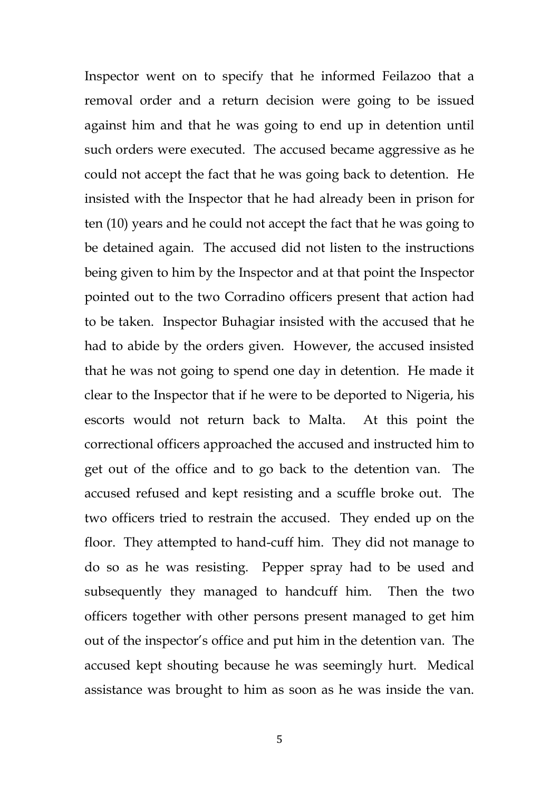Inspector went on to specify that he informed Feilazoo that a removal order and a return decision were going to be issued against him and that he was going to end up in detention until such orders were executed. The accused became aggressive as he could not accept the fact that he was going back to detention. He insisted with the Inspector that he had already been in prison for ten (10) years and he could not accept the fact that he was going to be detained again. The accused did not listen to the instructions being given to him by the Inspector and at that point the Inspector pointed out to the two Corradino officers present that action had to be taken. Inspector Buhagiar insisted with the accused that he had to abide by the orders given. However, the accused insisted that he was not going to spend one day in detention. He made it clear to the Inspector that if he were to be deported to Nigeria, his escorts would not return back to Malta. At this point the correctional officers approached the accused and instructed him to get out of the office and to go back to the detention van. The accused refused and kept resisting and a scuffle broke out. The two officers tried to restrain the accused. They ended up on the floor. They attempted to hand-cuff him. They did not manage to do so as he was resisting. Pepper spray had to be used and subsequently they managed to handcuff him. Then the two officers together with other persons present managed to get him out of the inspector's office and put him in the detention van. The accused kept shouting because he was seemingly hurt. Medical assistance was brought to him as soon as he was inside the van.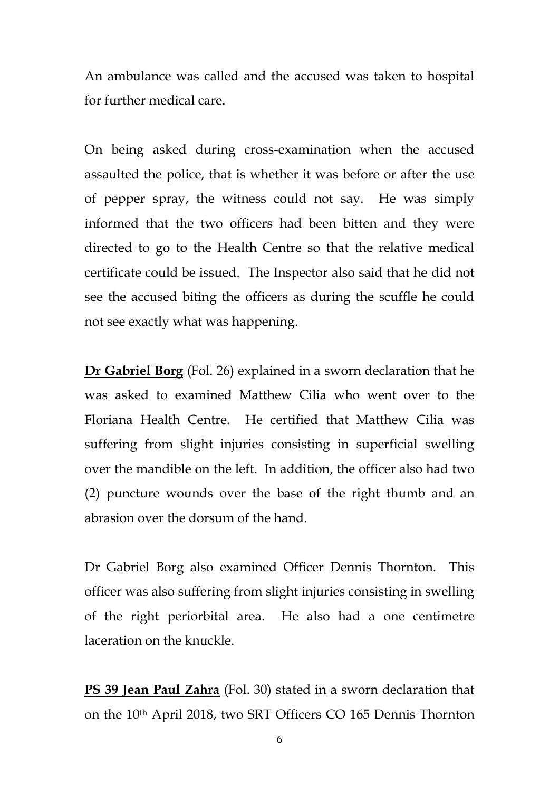An ambulance was called and the accused was taken to hospital for further medical care.

On being asked during cross-examination when the accused assaulted the police, that is whether it was before or after the use of pepper spray, the witness could not say. He was simply informed that the two officers had been bitten and they were directed to go to the Health Centre so that the relative medical certificate could be issued. The Inspector also said that he did not see the accused biting the officers as during the scuffle he could not see exactly what was happening.

**Dr Gabriel Borg** (Fol. 26) explained in a sworn declaration that he was asked to examined Matthew Cilia who went over to the Floriana Health Centre. He certified that Matthew Cilia was suffering from slight injuries consisting in superficial swelling over the mandible on the left. In addition, the officer also had two (2) puncture wounds over the base of the right thumb and an abrasion over the dorsum of the hand.

Dr Gabriel Borg also examined Officer Dennis Thornton. This officer was also suffering from slight injuries consisting in swelling of the right periorbital area. He also had a one centimetre laceration on the knuckle.

**PS 39 Jean Paul Zahra** (Fol. 30) stated in a sworn declaration that on the 10th April 2018, two SRT Officers CO 165 Dennis Thornton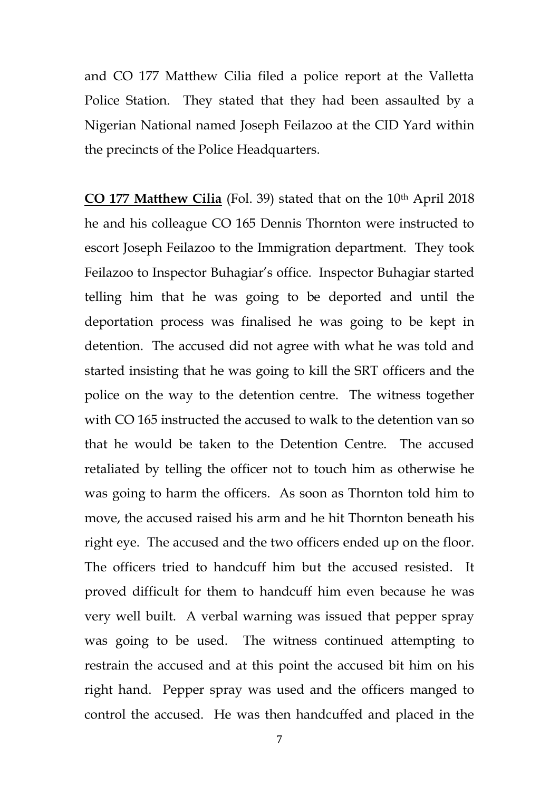and CO 177 Matthew Cilia filed a police report at the Valletta Police Station. They stated that they had been assaulted by a Nigerian National named Joseph Feilazoo at the CID Yard within the precincts of the Police Headquarters.

**CO 177 Matthew Cilia** (Fol. 39) stated that on the 10<sup>th</sup> April 2018 he and his colleague CO 165 Dennis Thornton were instructed to escort Joseph Feilazoo to the Immigration department. They took Feilazoo to Inspector Buhagiar's office. Inspector Buhagiar started telling him that he was going to be deported and until the deportation process was finalised he was going to be kept in detention. The accused did not agree with what he was told and started insisting that he was going to kill the SRT officers and the police on the way to the detention centre. The witness together with CO 165 instructed the accused to walk to the detention van so that he would be taken to the Detention Centre. The accused retaliated by telling the officer not to touch him as otherwise he was going to harm the officers. As soon as Thornton told him to move, the accused raised his arm and he hit Thornton beneath his right eye. The accused and the two officers ended up on the floor. The officers tried to handcuff him but the accused resisted. It proved difficult for them to handcuff him even because he was very well built. A verbal warning was issued that pepper spray was going to be used. The witness continued attempting to restrain the accused and at this point the accused bit him on his right hand. Pepper spray was used and the officers manged to control the accused. He was then handcuffed and placed in the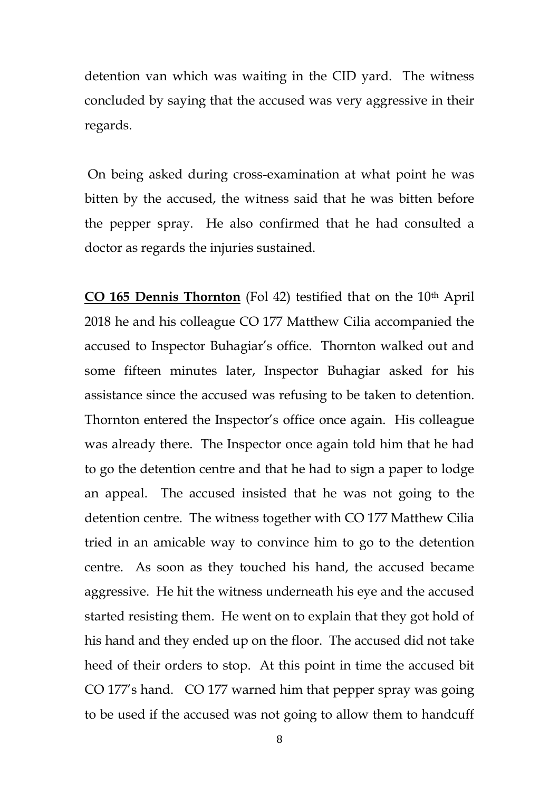detention van which was waiting in the CID yard. The witness concluded by saying that the accused was very aggressive in their regards.

On being asked during cross-examination at what point he was bitten by the accused, the witness said that he was bitten before the pepper spray. He also confirmed that he had consulted a doctor as regards the injuries sustained.

**CO 165 Dennis Thornton** (Fol 42) testified that on the 10<sup>th</sup> April 2018 he and his colleague CO 177 Matthew Cilia accompanied the accused to Inspector Buhagiar's office. Thornton walked out and some fifteen minutes later, Inspector Buhagiar asked for his assistance since the accused was refusing to be taken to detention. Thornton entered the Inspector's office once again. His colleague was already there. The Inspector once again told him that he had to go the detention centre and that he had to sign a paper to lodge an appeal. The accused insisted that he was not going to the detention centre. The witness together with CO 177 Matthew Cilia tried in an amicable way to convince him to go to the detention centre. As soon as they touched his hand, the accused became aggressive. He hit the witness underneath his eye and the accused started resisting them. He went on to explain that they got hold of his hand and they ended up on the floor. The accused did not take heed of their orders to stop. At this point in time the accused bit CO 177's hand. CO 177 warned him that pepper spray was going to be used if the accused was not going to allow them to handcuff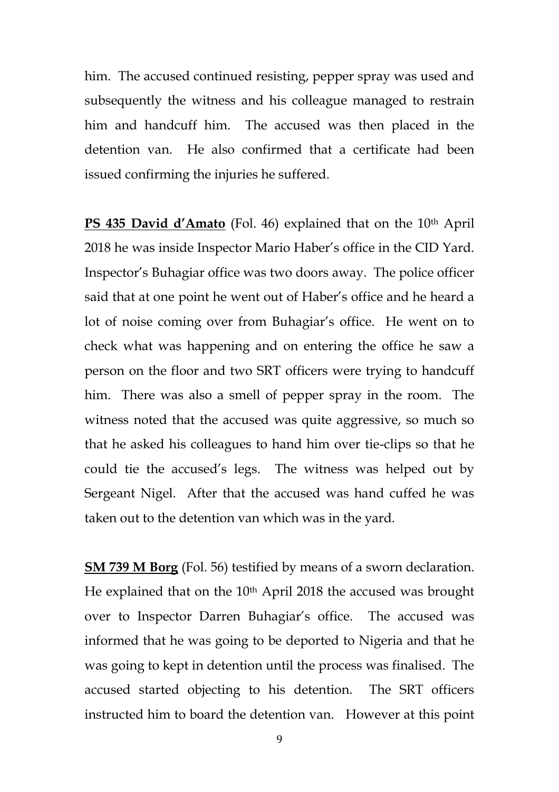him. The accused continued resisting, pepper spray was used and subsequently the witness and his colleague managed to restrain him and handcuff him. The accused was then placed in the detention van. He also confirmed that a certificate had been issued confirming the injuries he suffered.

**PS 435 David d'Amato** (Fol. 46) explained that on the 10<sup>th</sup> April 2018 he was inside Inspector Mario Haber's office in the CID Yard. Inspector's Buhagiar office was two doors away. The police officer said that at one point he went out of Haber's office and he heard a lot of noise coming over from Buhagiar's office. He went on to check what was happening and on entering the office he saw a person on the floor and two SRT officers were trying to handcuff him. There was also a smell of pepper spray in the room. The witness noted that the accused was quite aggressive, so much so that he asked his colleagues to hand him over tie-clips so that he could tie the accused's legs. The witness was helped out by Sergeant Nigel. After that the accused was hand cuffed he was taken out to the detention van which was in the yard.

**SM 739 M Borg** (Fol. 56) testified by means of a sworn declaration. He explained that on the 10<sup>th</sup> April 2018 the accused was brought over to Inspector Darren Buhagiar's office. The accused was informed that he was going to be deported to Nigeria and that he was going to kept in detention until the process was finalised. The accused started objecting to his detention. The SRT officers instructed him to board the detention van. However at this point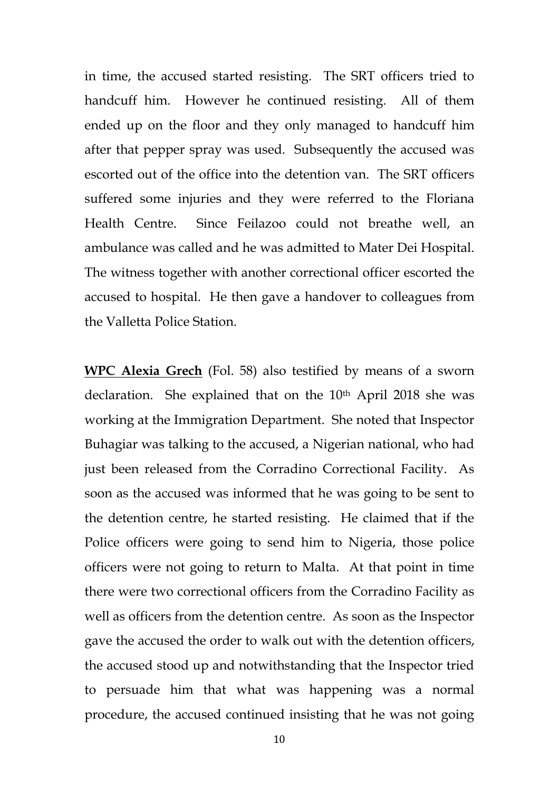in time, the accused started resisting. The SRT officers tried to handcuff him. However he continued resisting. All of them ended up on the floor and they only managed to handcuff him after that pepper spray was used. Subsequently the accused was escorted out of the office into the detention van. The SRT officers suffered some injuries and they were referred to the Floriana Health Centre. Since Feilazoo could not breathe well, an ambulance was called and he was admitted to Mater Dei Hospital. The witness together with another correctional officer escorted the accused to hospital. He then gave a handover to colleagues from the Valletta Police Station.

**WPC Alexia Grech** (Fol. 58) also testified by means of a sworn declaration. She explained that on the 10<sup>th</sup> April 2018 she was working at the Immigration Department. She noted that Inspector Buhagiar was talking to the accused, a Nigerian national, who had just been released from the Corradino Correctional Facility. As soon as the accused was informed that he was going to be sent to the detention centre, he started resisting. He claimed that if the Police officers were going to send him to Nigeria, those police officers were not going to return to Malta. At that point in time there were two correctional officers from the Corradino Facility as well as officers from the detention centre. As soon as the Inspector gave the accused the order to walk out with the detention officers, the accused stood up and notwithstanding that the Inspector tried to persuade him that what was happening was a normal procedure, the accused continued insisting that he was not going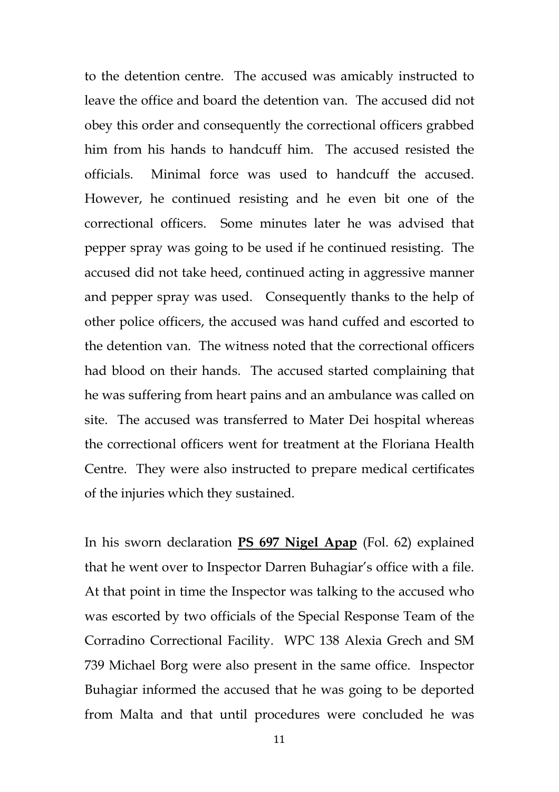to the detention centre. The accused was amicably instructed to leave the office and board the detention van. The accused did not obey this order and consequently the correctional officers grabbed him from his hands to handcuff him. The accused resisted the officials. Minimal force was used to handcuff the accused. However, he continued resisting and he even bit one of the correctional officers. Some minutes later he was advised that pepper spray was going to be used if he continued resisting. The accused did not take heed, continued acting in aggressive manner and pepper spray was used. Consequently thanks to the help of other police officers, the accused was hand cuffed and escorted to the detention van. The witness noted that the correctional officers had blood on their hands. The accused started complaining that he was suffering from heart pains and an ambulance was called on site. The accused was transferred to Mater Dei hospital whereas the correctional officers went for treatment at the Floriana Health Centre. They were also instructed to prepare medical certificates of the injuries which they sustained.

In his sworn declaration **PS 697 Nigel Apap** (Fol. 62) explained that he went over to Inspector Darren Buhagiar's office with a file. At that point in time the Inspector was talking to the accused who was escorted by two officials of the Special Response Team of the Corradino Correctional Facility. WPC 138 Alexia Grech and SM 739 Michael Borg were also present in the same office. Inspector Buhagiar informed the accused that he was going to be deported from Malta and that until procedures were concluded he was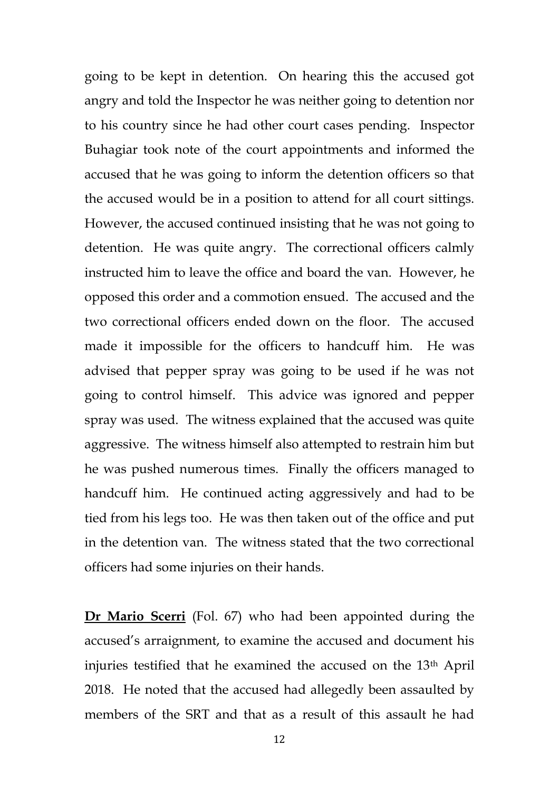going to be kept in detention. On hearing this the accused got angry and told the Inspector he was neither going to detention nor to his country since he had other court cases pending. Inspector Buhagiar took note of the court appointments and informed the accused that he was going to inform the detention officers so that the accused would be in a position to attend for all court sittings. However, the accused continued insisting that he was not going to detention. He was quite angry. The correctional officers calmly instructed him to leave the office and board the van. However, he opposed this order and a commotion ensued. The accused and the two correctional officers ended down on the floor. The accused made it impossible for the officers to handcuff him. He was advised that pepper spray was going to be used if he was not going to control himself. This advice was ignored and pepper spray was used. The witness explained that the accused was quite aggressive. The witness himself also attempted to restrain him but he was pushed numerous times. Finally the officers managed to handcuff him. He continued acting aggressively and had to be tied from his legs too. He was then taken out of the office and put in the detention van. The witness stated that the two correctional officers had some injuries on their hands.

**Dr Mario Scerri** (Fol. 67) who had been appointed during the accused's arraignment, to examine the accused and document his injuries testified that he examined the accused on the 13th April 2018. He noted that the accused had allegedly been assaulted by members of the SRT and that as a result of this assault he had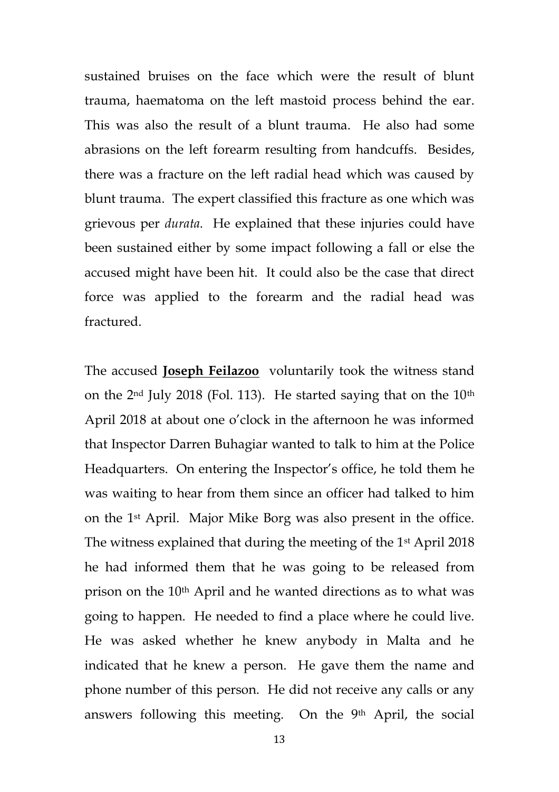sustained bruises on the face which were the result of blunt trauma, haematoma on the left mastoid process behind the ear. This was also the result of a blunt trauma. He also had some abrasions on the left forearm resulting from handcuffs. Besides, there was a fracture on the left radial head which was caused by blunt trauma. The expert classified this fracture as one which was grievous per *durata*. He explained that these injuries could have been sustained either by some impact following a fall or else the accused might have been hit. It could also be the case that direct force was applied to the forearm and the radial head was fractured.

The accused **Joseph Feilazoo** voluntarily took the witness stand on the  $2<sup>nd</sup>$  July 2018 (Fol. 113). He started saying that on the 10<sup>th</sup> April 2018 at about one o'clock in the afternoon he was informed that Inspector Darren Buhagiar wanted to talk to him at the Police Headquarters. On entering the Inspector's office, he told them he was waiting to hear from them since an officer had talked to him on the 1st April. Major Mike Borg was also present in the office. The witness explained that during the meeting of the 1st April 2018 he had informed them that he was going to be released from prison on the 10th April and he wanted directions as to what was going to happen. He needed to find a place where he could live. He was asked whether he knew anybody in Malta and he indicated that he knew a person. He gave them the name and phone number of this person. He did not receive any calls or any answers following this meeting. On the 9th April, the social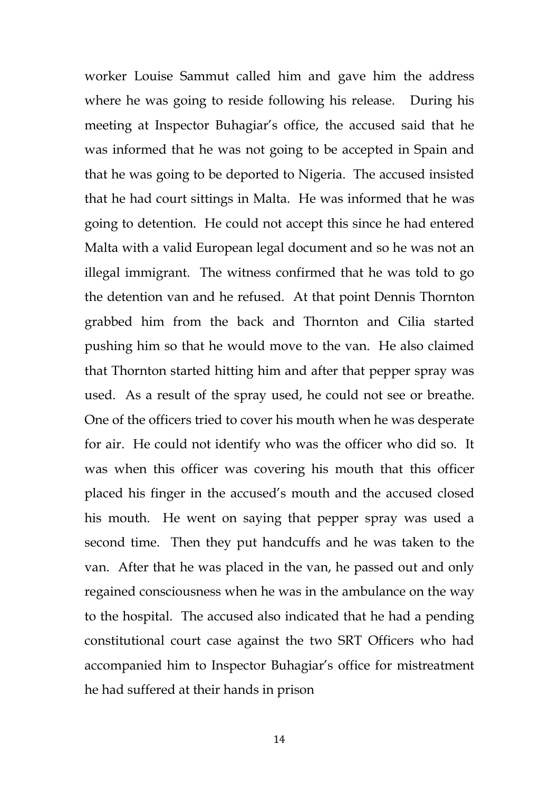worker Louise Sammut called him and gave him the address where he was going to reside following his release. During his meeting at Inspector Buhagiar's office, the accused said that he was informed that he was not going to be accepted in Spain and that he was going to be deported to Nigeria. The accused insisted that he had court sittings in Malta. He was informed that he was going to detention. He could not accept this since he had entered Malta with a valid European legal document and so he was not an illegal immigrant. The witness confirmed that he was told to go the detention van and he refused. At that point Dennis Thornton grabbed him from the back and Thornton and Cilia started pushing him so that he would move to the van. He also claimed that Thornton started hitting him and after that pepper spray was used. As a result of the spray used, he could not see or breathe. One of the officers tried to cover his mouth when he was desperate for air. He could not identify who was the officer who did so. It was when this officer was covering his mouth that this officer placed his finger in the accused's mouth and the accused closed his mouth. He went on saying that pepper spray was used a second time. Then they put handcuffs and he was taken to the van. After that he was placed in the van, he passed out and only regained consciousness when he was in the ambulance on the way to the hospital. The accused also indicated that he had a pending constitutional court case against the two SRT Officers who had accompanied him to Inspector Buhagiar's office for mistreatment he had suffered at their hands in prison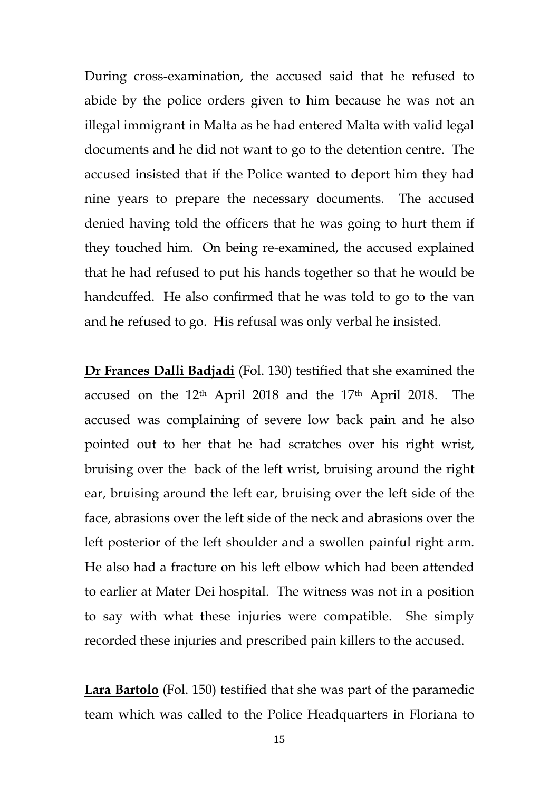During cross-examination, the accused said that he refused to abide by the police orders given to him because he was not an illegal immigrant in Malta as he had entered Malta with valid legal documents and he did not want to go to the detention centre. The accused insisted that if the Police wanted to deport him they had nine years to prepare the necessary documents. The accused denied having told the officers that he was going to hurt them if they touched him. On being re-examined, the accused explained that he had refused to put his hands together so that he would be handcuffed. He also confirmed that he was told to go to the van and he refused to go. His refusal was only verbal he insisted.

**Dr Frances Dalli Badjadi** (Fol. 130) testified that she examined the accused on the  $12<sup>th</sup>$  April 2018 and the 17<sup>th</sup> April 2018. The accused was complaining of severe low back pain and he also pointed out to her that he had scratches over his right wrist, bruising over the back of the left wrist, bruising around the right ear, bruising around the left ear, bruising over the left side of the face, abrasions over the left side of the neck and abrasions over the left posterior of the left shoulder and a swollen painful right arm. He also had a fracture on his left elbow which had been attended to earlier at Mater Dei hospital. The witness was not in a position to say with what these injuries were compatible. She simply recorded these injuries and prescribed pain killers to the accused.

**Lara Bartolo** (Fol. 150) testified that she was part of the paramedic team which was called to the Police Headquarters in Floriana to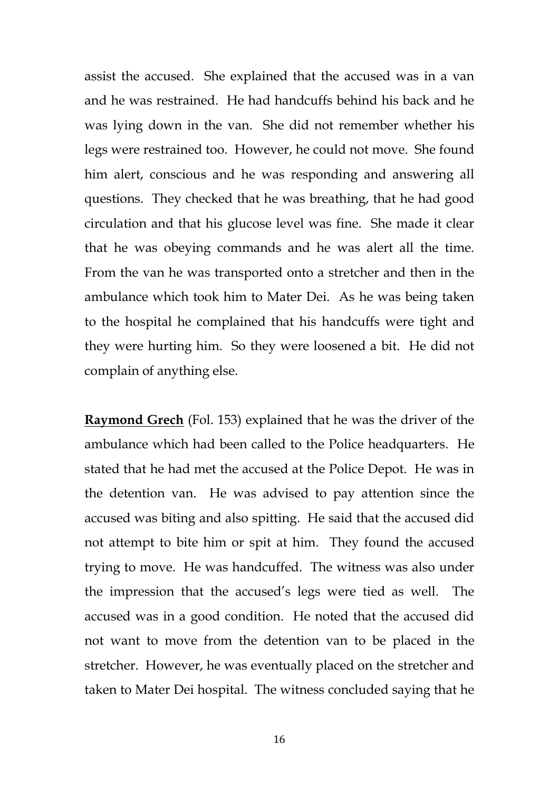assist the accused. She explained that the accused was in a van and he was restrained. He had handcuffs behind his back and he was lying down in the van. She did not remember whether his legs were restrained too. However, he could not move. She found him alert, conscious and he was responding and answering all questions. They checked that he was breathing, that he had good circulation and that his glucose level was fine. She made it clear that he was obeying commands and he was alert all the time. From the van he was transported onto a stretcher and then in the ambulance which took him to Mater Dei. As he was being taken to the hospital he complained that his handcuffs were tight and they were hurting him. So they were loosened a bit. He did not complain of anything else.

**Raymond Grech** (Fol. 153) explained that he was the driver of the ambulance which had been called to the Police headquarters. He stated that he had met the accused at the Police Depot. He was in the detention van. He was advised to pay attention since the accused was biting and also spitting. He said that the accused did not attempt to bite him or spit at him. They found the accused trying to move. He was handcuffed. The witness was also under the impression that the accused's legs were tied as well. The accused was in a good condition. He noted that the accused did not want to move from the detention van to be placed in the stretcher. However, he was eventually placed on the stretcher and taken to Mater Dei hospital. The witness concluded saying that he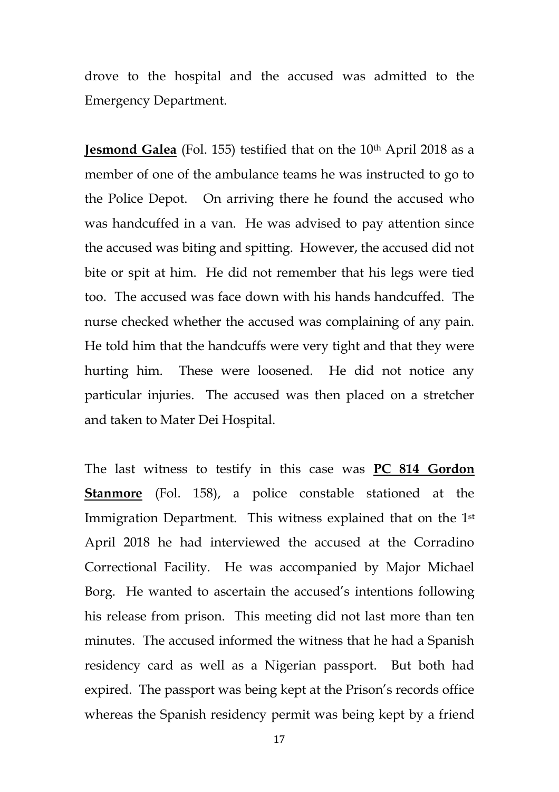drove to the hospital and the accused was admitted to the Emergency Department.

**Jesmond Galea** (Fol. 155) testified that on the 10<sup>th</sup> April 2018 as a member of one of the ambulance teams he was instructed to go to the Police Depot. On arriving there he found the accused who was handcuffed in a van. He was advised to pay attention since the accused was biting and spitting. However, the accused did not bite or spit at him. He did not remember that his legs were tied too. The accused was face down with his hands handcuffed. The nurse checked whether the accused was complaining of any pain. He told him that the handcuffs were very tight and that they were hurting him. These were loosened. He did not notice any particular injuries. The accused was then placed on a stretcher and taken to Mater Dei Hospital.

The last witness to testify in this case was **PC 814 Gordon Stanmore** (Fol. 158), a police constable stationed at the Immigration Department. This witness explained that on the 1<sup>st</sup> April 2018 he had interviewed the accused at the Corradino Correctional Facility. He was accompanied by Major Michael Borg. He wanted to ascertain the accused's intentions following his release from prison. This meeting did not last more than ten minutes. The accused informed the witness that he had a Spanish residency card as well as a Nigerian passport. But both had expired. The passport was being kept at the Prison's records office whereas the Spanish residency permit was being kept by a friend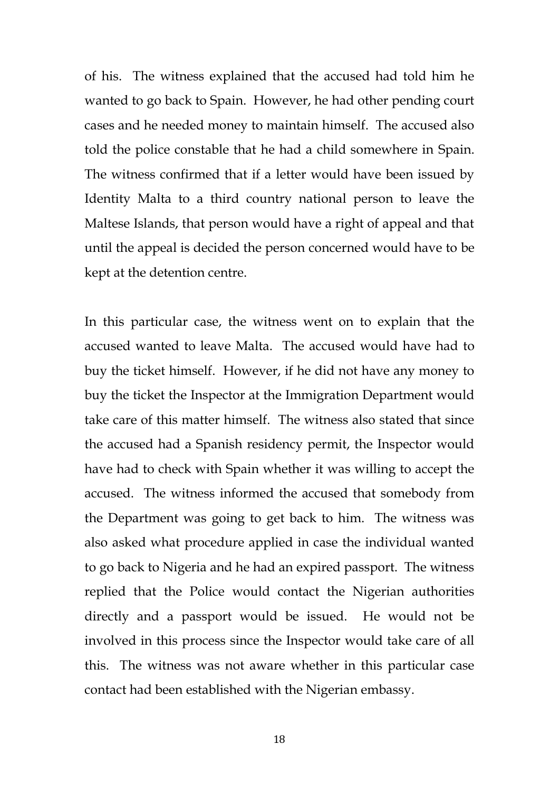of his. The witness explained that the accused had told him he wanted to go back to Spain. However, he had other pending court cases and he needed money to maintain himself. The accused also told the police constable that he had a child somewhere in Spain. The witness confirmed that if a letter would have been issued by Identity Malta to a third country national person to leave the Maltese Islands, that person would have a right of appeal and that until the appeal is decided the person concerned would have to be kept at the detention centre.

In this particular case, the witness went on to explain that the accused wanted to leave Malta. The accused would have had to buy the ticket himself. However, if he did not have any money to buy the ticket the Inspector at the Immigration Department would take care of this matter himself. The witness also stated that since the accused had a Spanish residency permit, the Inspector would have had to check with Spain whether it was willing to accept the accused. The witness informed the accused that somebody from the Department was going to get back to him. The witness was also asked what procedure applied in case the individual wanted to go back to Nigeria and he had an expired passport. The witness replied that the Police would contact the Nigerian authorities directly and a passport would be issued. He would not be involved in this process since the Inspector would take care of all this. The witness was not aware whether in this particular case contact had been established with the Nigerian embassy.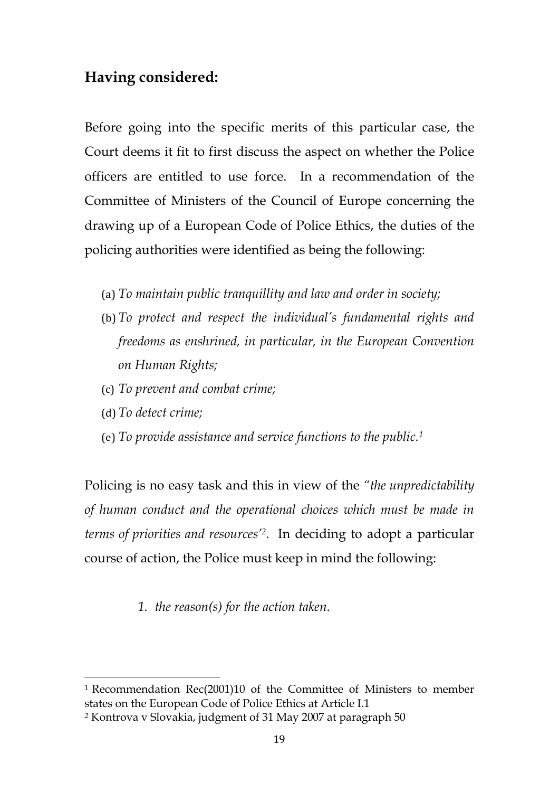### **Having considered:**

Before going into the specific merits of this particular case, the Court deems it fit to first discuss the aspect on whether the Police officers are entitled to use force. In a recommendation of the Committee of Ministers of the Council of Europe concerning the drawing up of a European Code of Police Ethics, the duties of the policing authorities were identified as being the following:

- (a) *To maintain public tranquillity and law and order in society;*
- (b) *To protect and respect the individual's fundamental rights and freedoms as enshrined, in particular, in the European Convention on Human Rights;*
- (c) *To prevent and combat crime;*
- (d) *To detect crime;*

 $\overline{\phantom{a}}$ 

(e) *To provide assistance and service functions to the public.<sup>1</sup>*

Policing is no easy task and this in view of the *"the unpredictability of human conduct and the operational choices which must be made in terms of priorities and resources'<sup>2</sup> .* In deciding to adopt a particular course of action, the Police must keep in mind the following:

*1. the reason(s) for the action taken.*

<sup>1</sup> Recommendation Rec(2001)10 of the Committee of Ministers to member states on the European Code of Police Ethics at Article I.1

<sup>2</sup> Kontrova v Slovakia, judgment of 31 May 2007 at paragraph 50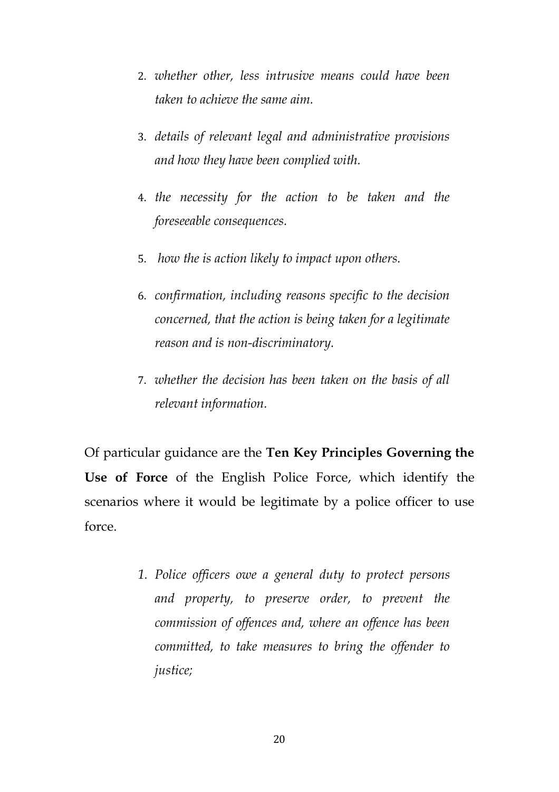- 2. *whether other, less intrusive means could have been taken to achieve the same aim.*
- 3. *details of relevant legal and administrative provisions and how they have been complied with.*
- 4. *the necessity for the action to be taken and the foreseeable consequences.*
- 5. *how the is action likely to impact upon others.*
- 6. *confirmation, including reasons specific to the decision concerned, that the action is being taken for a legitimate reason and is non-discriminatory.*
- 7. *whether the decision has been taken on the basis of all relevant information.*

Of particular guidance are the **Ten Key Principles Governing the Use of Force** of the English Police Force, which identify the scenarios where it would be legitimate by a police officer to use force.

> *1. Police officers owe a general duty to protect persons and property, to preserve order, to prevent the commission of offences and, where an offence has been committed, to take measures to bring the offender to justice;*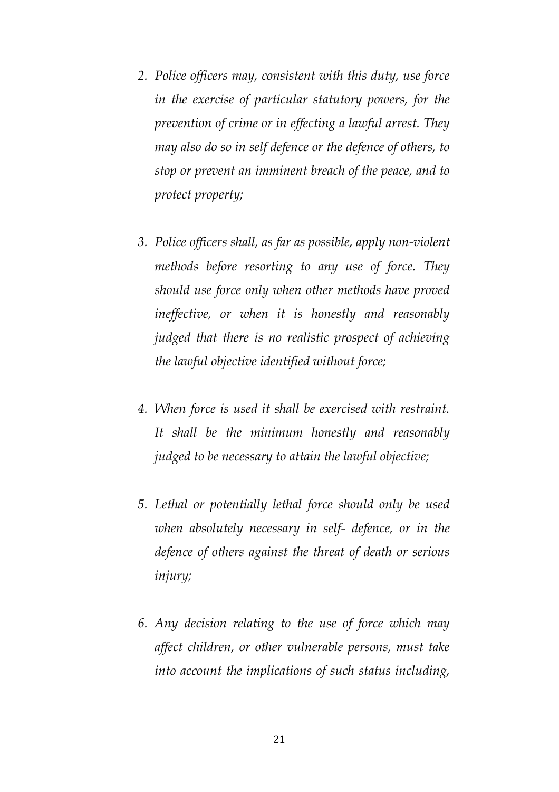- *2. Police officers may, consistent with this duty, use force in the exercise of particular statutory powers, for the prevention of crime or in effecting a lawful arrest. They may also do so in self defence or the defence of others, to stop or prevent an imminent breach of the peace, and to protect property;*
- *3. Police officers shall, as far as possible, apply non-violent methods before resorting to any use of force. They should use force only when other methods have proved ineffective, or when it is honestly and reasonably judged that there is no realistic prospect of achieving the lawful objective identified without force;*
- *4. When force is used it shall be exercised with restraint. It shall be the minimum honestly and reasonably judged to be necessary to attain the lawful objective;*
- *5. Lethal or potentially lethal force should only be used when absolutely necessary in self- defence, or in the defence of others against the threat of death or serious injury;*
- *6. Any decision relating to the use of force which may affect children, or other vulnerable persons, must take into account the implications of such status including,*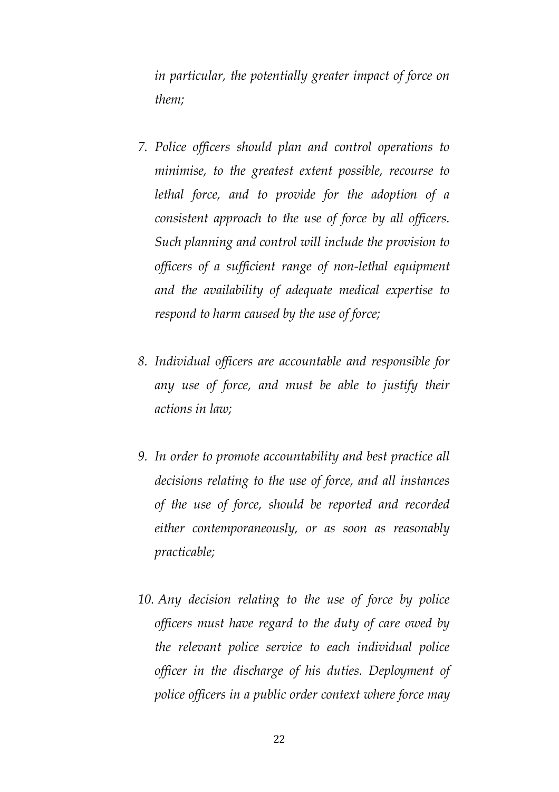*in particular, the potentially greater impact of force on them;* 

- *7. Police officers should plan and control operations to minimise, to the greatest extent possible, recourse to lethal force, and to provide for the adoption of a consistent approach to the use of force by all officers. Such planning and control will include the provision to officers of a sufficient range of non-lethal equipment and the availability of adequate medical expertise to respond to harm caused by the use of force;*
- *8. Individual officers are accountable and responsible for any use of force, and must be able to justify their actions in law;*
- *9. In order to promote accountability and best practice all decisions relating to the use of force, and all instances of the use of force, should be reported and recorded either contemporaneously, or as soon as reasonably practicable;*
- *10. Any decision relating to the use of force by police officers must have regard to the duty of care owed by the relevant police service to each individual police officer in the discharge of his duties. Deployment of police officers in a public order context where force may*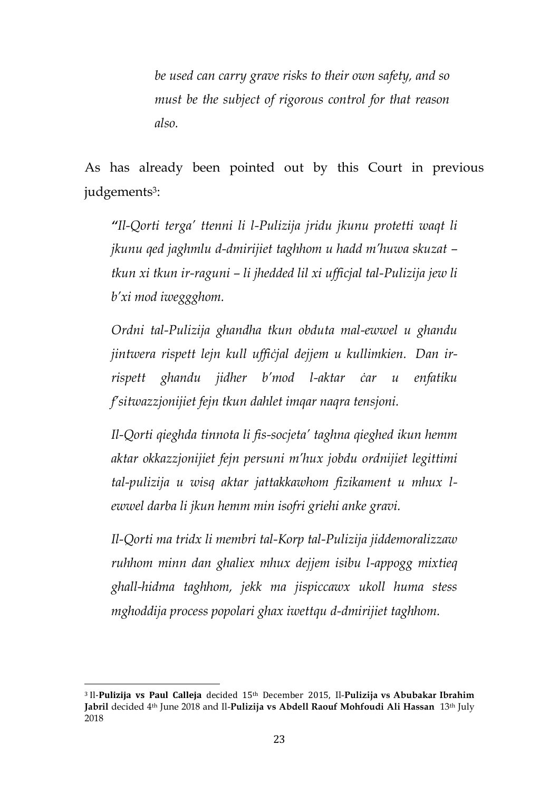*be used can carry grave risks to their own safety, and so must be the subject of rigorous control for that reason also.*

As has already been pointed out by this Court in previous judgements<sup>3</sup>:

*"Il-Qorti terga' ttenni li l-Pulizija jridu jkunu protetti waqt li jkunu qed jaghmlu d-dmirijiet taghhom u hadd m'huwa skuzat – tkun xi tkun ir-raguni – li jhedded lil xi ufficjal tal-Pulizija jew li b'xi mod iweggghom.*

*Ordni tal-Pulizija ghandha tkun obduta mal-ewwel u ghandu jintwera rispett lejn kull uffiċjal dejjem u kullimkien. Dan irrispett ghandu jidher b'mod l-aktar ċar u enfatiku f'sitwazzjonijiet fejn tkun dahlet imqar naqra tensjoni.*

*Il-Qorti qieghda tinnota li fis-socjeta' taghna qieghed ikun hemm aktar okkazzjonijiet fejn persuni m'hux jobdu ordnijiet legittimi tal-pulizija u wisq aktar jattakkawhom fizikament u mhux lewwel darba li jkun hemm min isofri griehi anke gravi.*

*Il-Qorti ma tridx li membri tal-Korp tal-Pulizija jiddemoralizzaw ruhhom minn dan ghaliex mhux dejjem isibu l-appogg mixtieq ghall-hidma taghhom, jekk ma jispiccawx ukoll huma stess mghoddija process popolari ghax iwettqu d-dmirijiet taghhom.*

 $\overline{a}$ 

<sup>3</sup> Il-**Pulizija vs Paul Calleja** decided 15th December 2015, Il-**Pulizija vs Abubakar Ibrahim Jabril** decided 4th June 2018 and Il-**Pulizija vs Abdell Raouf Mohfoudi Ali Hassan** 13th July 2018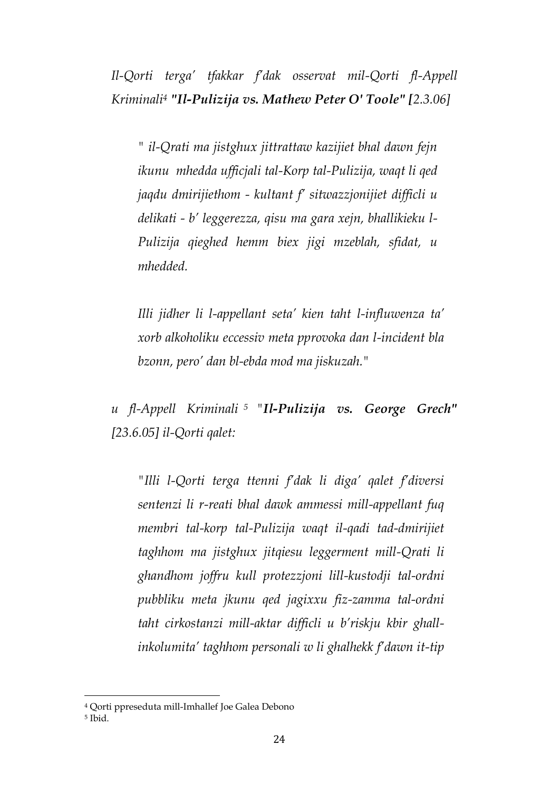*Il-Qorti terga' tfakkar f'dak osservat mil-Qorti fl-Appell Kriminali<sup>4</sup> "Il-Pulizija vs. Mathew Peter O' Toole" [2.3.06]*

*" il-Qrati ma jistghux jittrattaw kazijiet bhal dawn fejn ikunu mhedda ufficjali tal-Korp tal-Pulizija, waqt li qed jaqdu dmirijiethom - kultant f' sitwazzjonijiet difficli u delikati - b' leggerezza, qisu ma gara xejn, bhallikieku l-Pulizija qieghed hemm biex jigi mzeblah, sfidat, u mhedded.*

*Illi jidher li l-appellant seta' kien taht l-influwenza ta' xorb alkoholiku eccessiv meta pprovoka dan l-incident bla bzonn, pero' dan bl-ebda mod ma jiskuzah."*

*u fl-Appell Kriminali <sup>5</sup> "Il-Pulizija vs. George Grech" [23.6.05] il-Qorti qalet:* 

*"Illi l-Qorti terga ttenni f'dak li diga' qalet f'diversi sentenzi li r-reati bhal dawk ammessi mill-appellant fuq membri tal-korp tal-Pulizija waqt il-qadi tad-dmirijiet taghhom ma jistghux jitqiesu leggerment mill-Qrati li ghandhom joffru kull protezzjoni lill-kustodji tal-ordni pubbliku meta jkunu qed jagixxu fiz-zamma tal-ordni taht cirkostanzi mill-aktar difficli u b'riskju kbir ghallinkolumita' taghhom personali w li ghalhekk f'dawn it-tip* 

 $\overline{\phantom{a}}$ 

<sup>4</sup> Qorti ppreseduta mill-Imhallef Joe Galea Debono

<sup>5</sup> Ibid.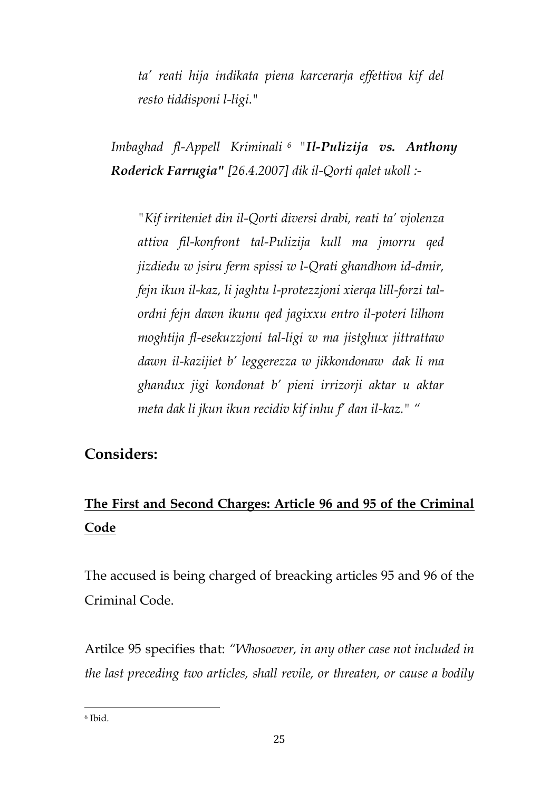*ta' reati hija indikata piena karcerarja effettiva kif del resto tiddisponi l-ligi."*

*Imbaghad fl-Appell Kriminali <sup>6</sup> "Il-Pulizija vs. Anthony Roderick Farrugia" [26.4.2007] dik il-Qorti qalet ukoll :-*

*"Kif irriteniet din il-Qorti diversi drabi, reati ta' vjolenza attiva fil-konfront tal-Pulizija kull ma jmorru qed jizdiedu w jsiru ferm spissi w l-Qrati ghandhom id-dmir, fejn ikun il-kaz, li jaghtu l-protezzjoni xierqa lill-forzi talordni fejn dawn ikunu qed jagixxu entro il-poteri lilhom moghtija fl-esekuzzjoni tal-ligi w ma jistghux jittrattaw dawn il-kazijiet b' leggerezza w jikkondonaw dak li ma ghandux jigi kondonat b' pieni irrizorji aktar u aktar meta dak li jkun ikun recidiv kif inhu f' dan il-kaz." "*

### **Considers:**

# **The First and Second Charges: Article 96 and 95 of the Criminal Code**

The accused is being charged of breacking articles 95 and 96 of the Criminal Code.

Artilce 95 specifies that: *"Whosoever, in any other case not included in the last preceding two articles, shall revile, or threaten, or cause a bodily*

 $\overline{\phantom{a}}$ 

<sup>6</sup> Ibid.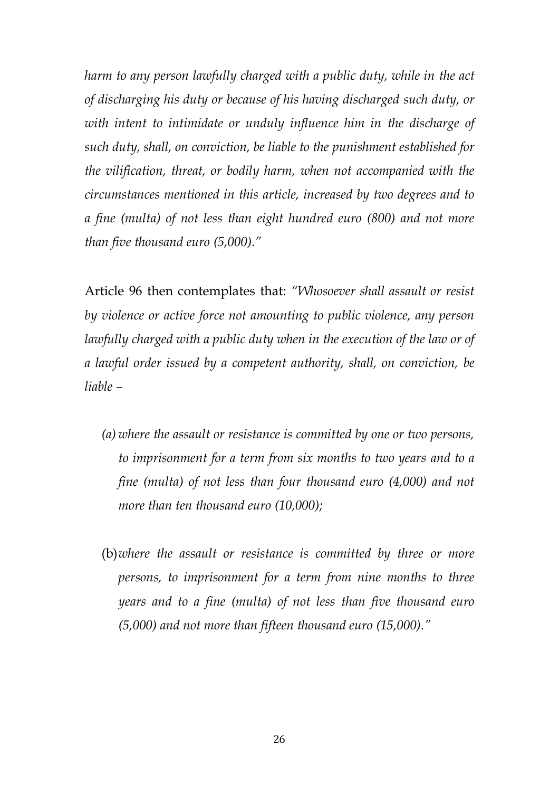*harm to any person lawfully charged with a public duty, while in the act of discharging his duty or because of his having discharged such duty, or with intent to intimidate or unduly influence him in the discharge of such duty, shall, on conviction, be liable to the punishment established for the vilification, threat, or bodily harm, when not accompanied with the circumstances mentioned in this article, increased by two degrees and to a fine (multa) of not less than eight hundred euro (800) and not more than five thousand euro (5,000)."*

Article 96 then contemplates that: *"Whosoever shall assault or resist by violence or active force not amounting to public violence, any person lawfully charged with a public duty when in the execution of the law or of a lawful order issued by a competent authority, shall, on conviction, be liable –*

- *(a) where the assault or resistance is committed by one or two persons, to imprisonment for a term from six months to two years and to a fine (multa) of not less than four thousand euro (4,000) and not more than ten thousand euro (10,000);*
- (b)*where the assault or resistance is committed by three or more persons, to imprisonment for a term from nine months to three years and to a fine (multa) of not less than five thousand euro (5,000) and not more than fifteen thousand euro (15,000)."*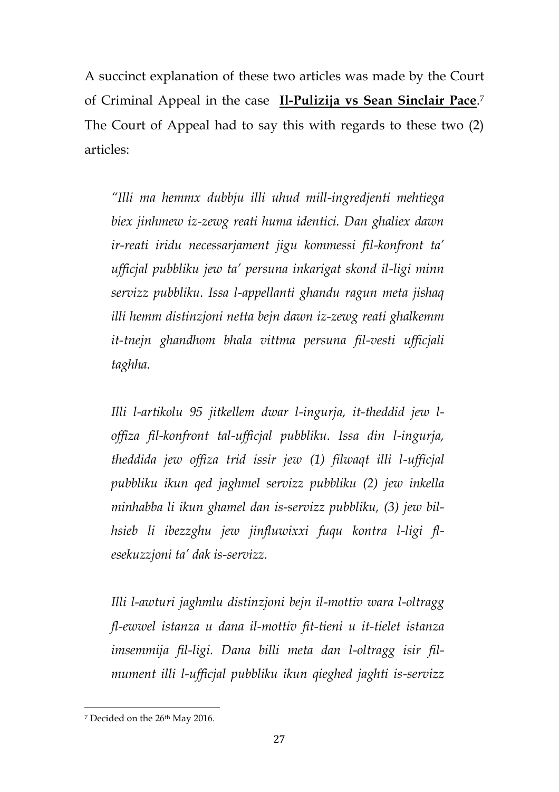A succinct explanation of these two articles was made by the Court of Criminal Appeal in the case **Il-Pulizija vs Sean Sinclair Pace**. 7 The Court of Appeal had to say this with regards to these two (2) articles:

*"Illi ma hemmx dubbju illi uhud mill-ingredjenti mehtiega biex jinhmew iz-zewg reati huma identici. Dan ghaliex dawn ir-reati iridu necessarjament jigu kommessi fil-konfront ta' ufficjal pubbliku jew ta' persuna inkarigat skond il-ligi minn servizz pubbliku. Issa l-appellanti ghandu ragun meta jishaq illi hemm distinzjoni netta bejn dawn iz-zewg reati ghalkemm it-tnejn ghandhom bhala vittma persuna fil-vesti ufficjali taghha.* 

*Illi l-artikolu 95 jitkellem dwar l-ingurja, it-theddid jew loffiza fil-konfront tal-ufficjal pubbliku. Issa din l-ingurja, theddida jew offiza trid issir jew (1) filwaqt illi l-ufficjal pubbliku ikun qed jaghmel servizz pubbliku (2) jew inkella minhabba li ikun ghamel dan is-servizz pubbliku, (3) jew bilhsieb li ibezzghu jew jinfluwixxi fuqu kontra l-ligi flesekuzzjoni ta' dak is-servizz.* 

*Illi l-awturi jaghmlu distinzjoni bejn il-mottiv wara l-oltragg fl-ewwel istanza u dana il-mottiv fit-tieni u it-tielet istanza imsemmija fil-ligi. Dana billi meta dan l-oltragg isir filmument illi l-ufficjal pubbliku ikun qieghed jaghti is-servizz* 

 $\overline{\phantom{a}}$ 

<sup>&</sup>lt;sup>7</sup> Decided on the 26<sup>th</sup> May 2016.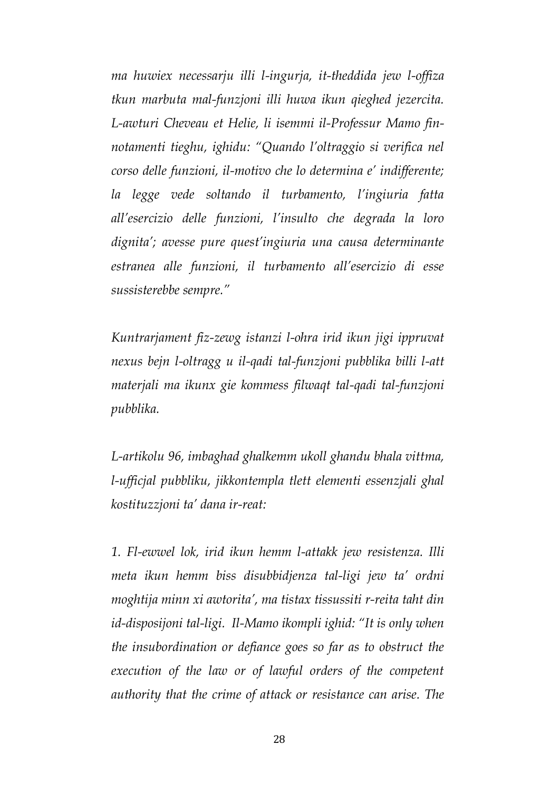*ma huwiex necessarju illi l-ingurja, it-theddida jew l-offiza tkun marbuta mal-funzjoni illi huwa ikun qieghed jezercita. L-awturi Cheveau et Helie, li isemmi il-Professur Mamo finnotamenti tieghu, ighidu: "Quando l'oltraggio si verifica nel corso delle funzioni, il-motivo che lo determina e' indifferente; la legge vede soltando il turbamento, l'ingiuria fatta all'esercizio delle funzioni, l'insulto che degrada la loro dignita'; avesse pure quest'ingiuria una causa determinante estranea alle funzioni, il turbamento all'esercizio di esse sussisterebbe sempre."* 

*Kuntrarjament fiz-zewg istanzi l-ohra irid ikun jigi ippruvat nexus bejn l-oltragg u il-qadi tal-funzjoni pubblika billi l-att materjali ma ikunx gie kommess filwaqt tal-qadi tal-funzjoni pubblika.* 

*L-artikolu 96, imbaghad ghalkemm ukoll ghandu bhala vittma, l-ufficjal pubbliku, jikkontempla tlett elementi essenzjali ghal kostituzzjoni ta' dana ir-reat:* 

*1. Fl-ewwel lok, irid ikun hemm l-attakk jew resistenza. Illi meta ikun hemm biss disubbidjenza tal-ligi jew ta' ordni moghtija minn xi awtorita', ma tistax tissussiti r-reita taht din id-disposijoni tal-ligi. Il-Mamo ikompli ighid: "It is only when the insubordination or defiance goes so far as to obstruct the execution of the law or of lawful orders of the competent authority that the crime of attack or resistance can arise. The*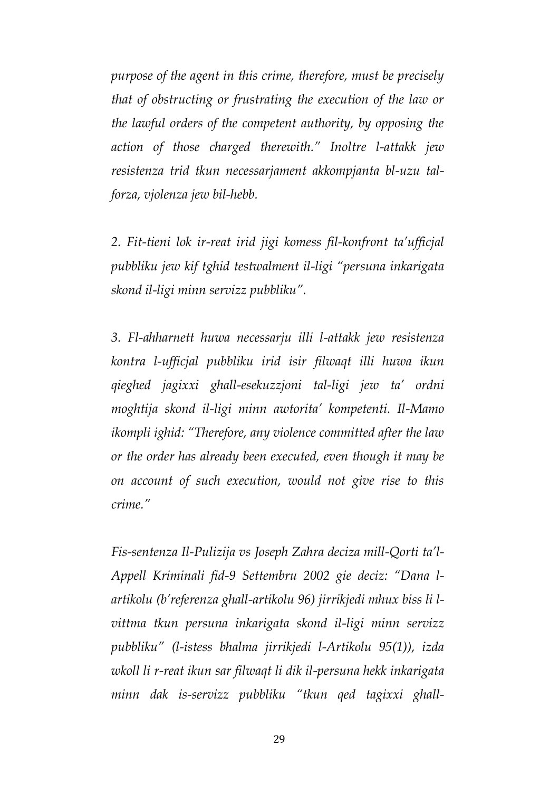*purpose of the agent in this crime, therefore, must be precisely that of obstructing or frustrating the execution of the law or the lawful orders of the competent authority, by opposing the action of those charged therewith." Inoltre l-attakk jew resistenza trid tkun necessarjament akkompjanta bl-uzu talforza, vjolenza jew bil-hebb.* 

*2. Fit-tieni lok ir-reat irid jigi komess fil-konfront ta'ufficjal pubbliku jew kif tghid testwalment il-ligi "persuna inkarigata skond il-ligi minn servizz pubbliku".* 

*3. Fl-ahharnett huwa necessarju illi l-attakk jew resistenza kontra l-ufficjal pubbliku irid isir filwaqt illi huwa ikun qieghed jagixxi ghall-esekuzzjoni tal-ligi jew ta' ordni moghtija skond il-ligi minn awtorita' kompetenti. Il-Mamo ikompli ighid: "Therefore, any violence committed after the law or the order has already been executed, even though it may be on account of such execution, would not give rise to this crime."*

*Fis-sentenza Il-Pulizija vs Joseph Zahra deciza mill-Qorti ta'l-Appell Kriminali fid-9 Settembru 2002 gie deciz: "Dana lartikolu (b'referenza ghall-artikolu 96) jirrikjedi mhux biss li lvittma tkun persuna inkarigata skond il-ligi minn servizz pubbliku" (l-istess bhalma jirrikjedi l-Artikolu 95(1)), izda wkoll li r-reat ikun sar filwaqt li dik il-persuna hekk inkarigata minn dak is-servizz pubbliku "tkun qed tagixxi ghall-*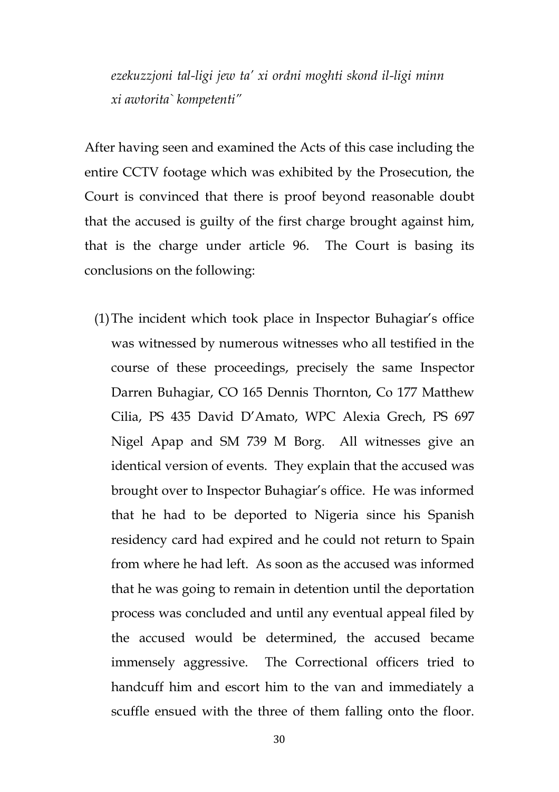*ezekuzzjoni tal-ligi jew ta' xi ordni moghti skond il-ligi minn xi awtorita` kompetenti"*

After having seen and examined the Acts of this case including the entire CCTV footage which was exhibited by the Prosecution, the Court is convinced that there is proof beyond reasonable doubt that the accused is guilty of the first charge brought against him, that is the charge under article 96. The Court is basing its conclusions on the following:

(1)The incident which took place in Inspector Buhagiar's office was witnessed by numerous witnesses who all testified in the course of these proceedings, precisely the same Inspector Darren Buhagiar, CO 165 Dennis Thornton, Co 177 Matthew Cilia, PS 435 David D'Amato, WPC Alexia Grech, PS 697 Nigel Apap and SM 739 M Borg. All witnesses give an identical version of events. They explain that the accused was brought over to Inspector Buhagiar's office. He was informed that he had to be deported to Nigeria since his Spanish residency card had expired and he could not return to Spain from where he had left. As soon as the accused was informed that he was going to remain in detention until the deportation process was concluded and until any eventual appeal filed by the accused would be determined, the accused became immensely aggressive. The Correctional officers tried to handcuff him and escort him to the van and immediately a scuffle ensued with the three of them falling onto the floor.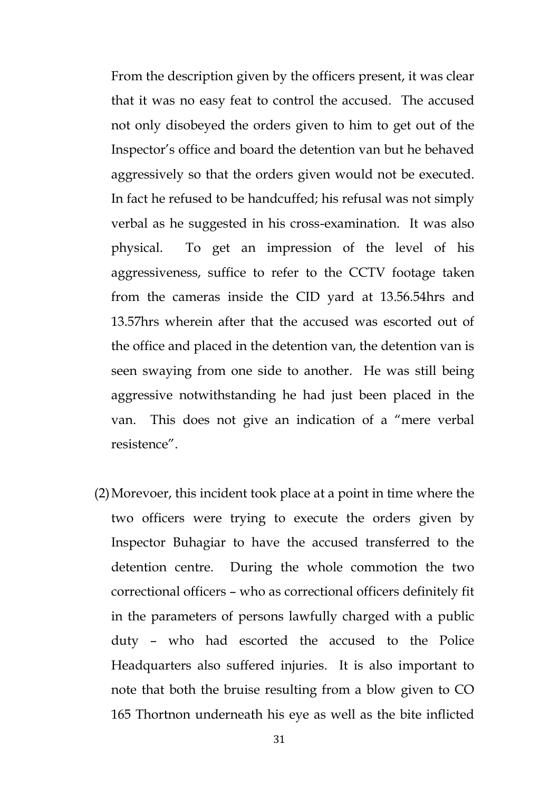From the description given by the officers present, it was clear that it was no easy feat to control the accused. The accused not only disobeyed the orders given to him to get out of the Inspector's office and board the detention van but he behaved aggressively so that the orders given would not be executed. In fact he refused to be handcuffed; his refusal was not simply verbal as he suggested in his cross-examination. It was also physical. To get an impression of the level of his aggressiveness, suffice to refer to the CCTV footage taken from the cameras inside the CID yard at 13.56.54hrs and 13.57hrs wherein after that the accused was escorted out of the office and placed in the detention van, the detention van is seen swaying from one side to another. He was still being aggressive notwithstanding he had just been placed in the van. This does not give an indication of a "mere verbal resistence".

(2)Morevoer, this incident took place at a point in time where the two officers were trying to execute the orders given by Inspector Buhagiar to have the accused transferred to the detention centre. During the whole commotion the two correctional officers – who as correctional officers definitely fit in the parameters of persons lawfully charged with a public duty – who had escorted the accused to the Police Headquarters also suffered injuries. It is also important to note that both the bruise resulting from a blow given to CO 165 Thortnon underneath his eye as well as the bite inflicted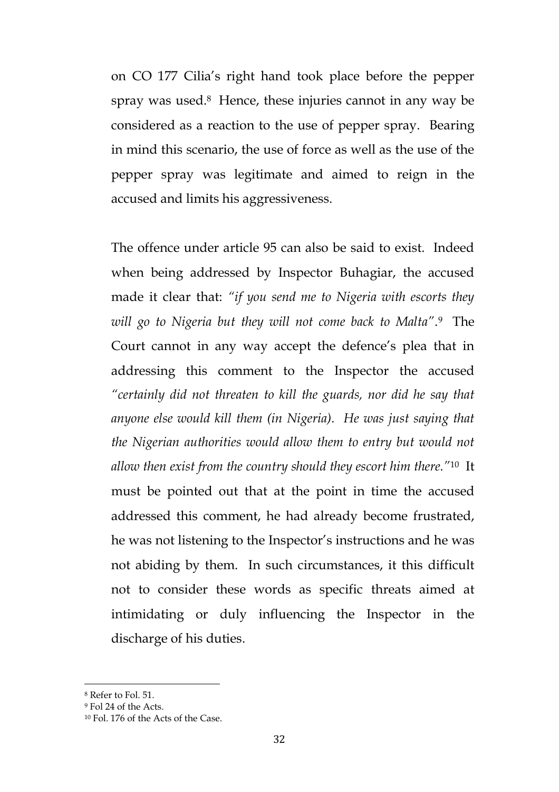on CO 177 Cilia's right hand took place before the pepper spray was used.<sup>8</sup> Hence, these injuries cannot in any way be considered as a reaction to the use of pepper spray. Bearing in mind this scenario, the use of force as well as the use of the pepper spray was legitimate and aimed to reign in the accused and limits his aggressiveness.

The offence under article 95 can also be said to exist. Indeed when being addressed by Inspector Buhagiar, the accused made it clear that: *"if you send me to Nigeria with escorts they will go to Nigeria but they will not come back to Malta"*. 9 The Court cannot in any way accept the defence's plea that in addressing this comment to the Inspector the accused *"certainly did not threaten to kill the guards, nor did he say that anyone else would kill them (in Nigeria). He was just saying that the Nigerian authorities would allow them to entry but would not allow then exist from the country should they escort him there."*<sup>10</sup> It must be pointed out that at the point in time the accused addressed this comment, he had already become frustrated, he was not listening to the Inspector's instructions and he was not abiding by them. In such circumstances, it this difficult not to consider these words as specific threats aimed at intimidating or duly influencing the Inspector in the discharge of his duties.

 $\overline{a}$ 

<sup>8</sup> Refer to Fol. 51.

<sup>9</sup> Fol 24 of the Acts.

<sup>10</sup> Fol. 176 of the Acts of the Case.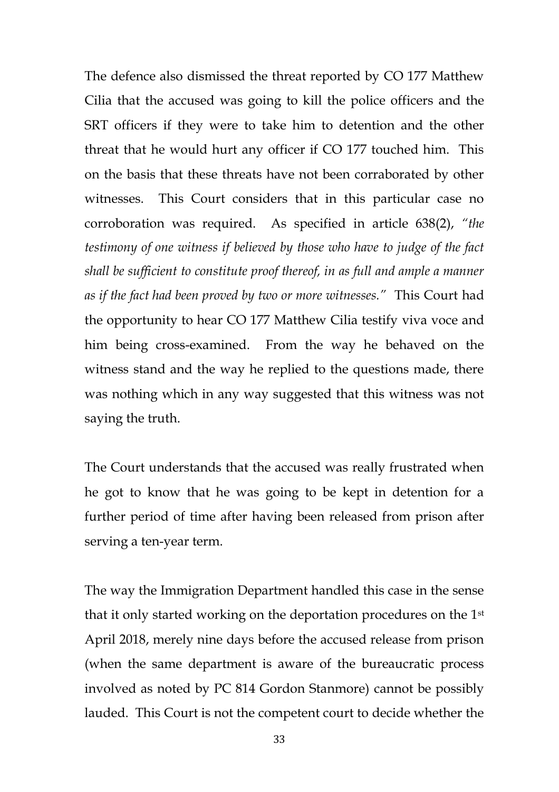The defence also dismissed the threat reported by CO 177 Matthew Cilia that the accused was going to kill the police officers and the SRT officers if they were to take him to detention and the other threat that he would hurt any officer if CO 177 touched him. This on the basis that these threats have not been corraborated by other witnesses. This Court considers that in this particular case no corroboration was required. As specified in article 638(2), *"the testimony of one witness if believed by those who have to judge of the fact shall be sufficient to constitute proof thereof, in as full and ample a manner as if the fact had been proved by two or more witnesses."* This Court had the opportunity to hear CO 177 Matthew Cilia testify viva voce and him being cross-examined. From the way he behaved on the witness stand and the way he replied to the questions made, there was nothing which in any way suggested that this witness was not saying the truth.

The Court understands that the accused was really frustrated when he got to know that he was going to be kept in detention for a further period of time after having been released from prison after serving a ten-year term.

The way the Immigration Department handled this case in the sense that it only started working on the deportation procedures on the 1st April 2018, merely nine days before the accused release from prison (when the same department is aware of the bureaucratic process involved as noted by PC 814 Gordon Stanmore) cannot be possibly lauded. This Court is not the competent court to decide whether the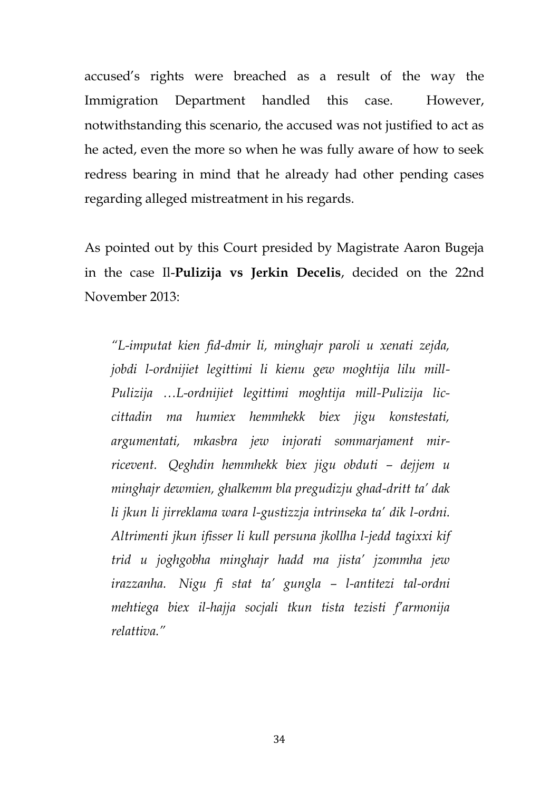accused's rights were breached as a result of the way the Immigration Department handled this case. However, notwithstanding this scenario, the accused was not justified to act as he acted, even the more so when he was fully aware of how to seek redress bearing in mind that he already had other pending cases regarding alleged mistreatment in his regards.

As pointed out by this Court presided by Magistrate Aaron Bugeja in the case Il-**Pulizija vs Jerkin Decelis**, decided on the 22nd November 2013:

*"L-imputat kien fid-dmir li, minghajr paroli u xenati zejda, jobdi l-ordnijiet legittimi li kienu gew moghtija lilu mill-Pulizija …L-ordnijiet legittimi moghtija mill-Pulizija liccittadin ma humiex hemmhekk biex jigu konstestati, argumentati, mkasbra jew injorati sommarjament mirricevent. Qeghdin hemmhekk biex jigu obduti – dejjem u minghajr dewmien, ghalkemm bla pregudizju ghad-dritt ta' dak li jkun li jirreklama wara l-gustizzja intrinseka ta' dik l-ordni. Altrimenti jkun ifisser li kull persuna jkollha l-jedd tagixxi kif trid u joghgobha minghajr hadd ma jista' jzommha jew irazzanha. Nigu fi stat ta' gungla – l-antitezi tal-ordni mehtiega biex il-hajja socjali tkun tista tezisti f'armonija relattiva."*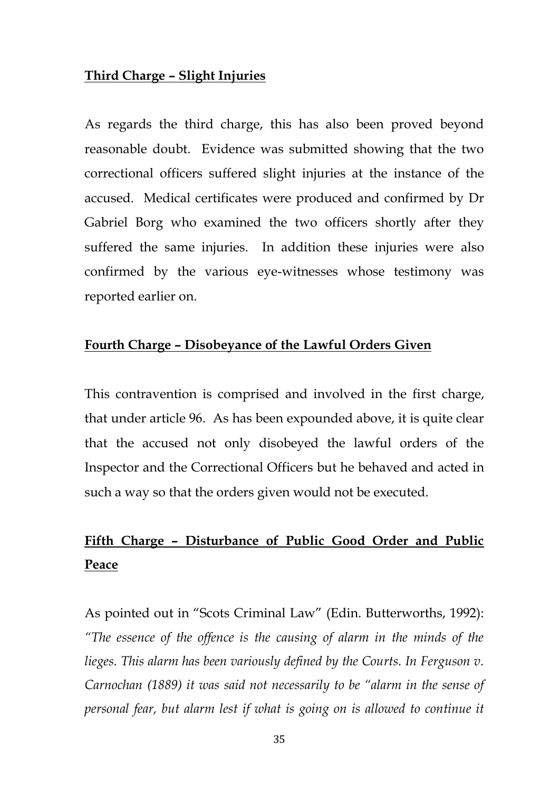#### **Third Charge – Slight Injuries**

As regards the third charge, this has also been proved beyond reasonable doubt. Evidence was submitted showing that the two correctional officers suffered slight injuries at the instance of the accused. Medical certificates were produced and confirmed by Dr Gabriel Borg who examined the two officers shortly after they suffered the same injuries. In addition these injuries were also confirmed by the various eye-witnesses whose testimony was reported earlier on.

#### **Fourth Charge – Disobeyance of the Lawful Orders Given**

This contravention is comprised and involved in the first charge, that under article 96. As has been expounded above, it is quite clear that the accused not only disobeyed the lawful orders of the Inspector and the Correctional Officers but he behaved and acted in such a way so that the orders given would not be executed.

## **Fifth Charge – Disturbance of Public Good Order and Public Peace**

As pointed out in "Scots Criminal Law" (Edin. Butterworths, 1992): *"The essence of the offence is the causing of alarm in the minds of the lieges. This alarm has been variously defined by the Courts. In Ferguson v. Carnochan (1889) it was said not necessarily to be "alarm in the sense of personal fear, but alarm lest if what is going on is allowed to continue it*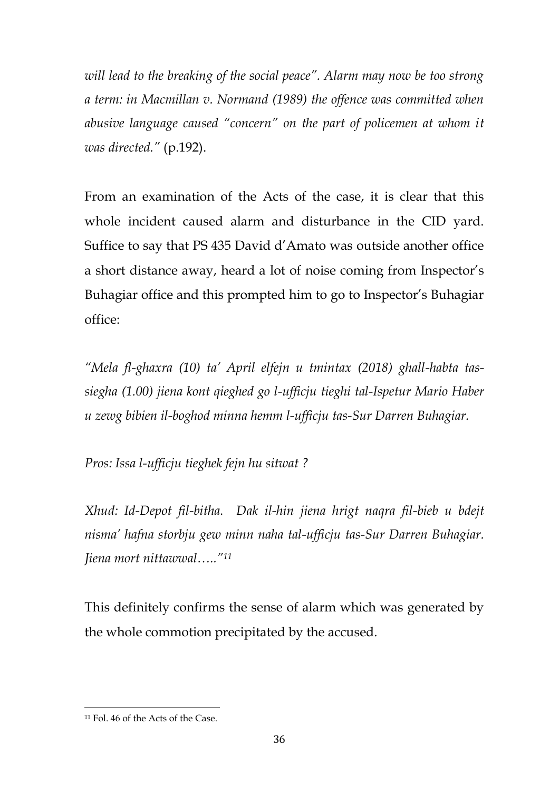*will lead to the breaking of the social peace". Alarm may now be too strong a term: in Macmillan v. Normand (1989) the offence was committed when abusive language caused "concern" on the part of policemen at whom it was directed."* (p.192).

From an examination of the Acts of the case, it is clear that this whole incident caused alarm and disturbance in the CID yard. Suffice to say that PS 435 David d'Amato was outside another office a short distance away, heard a lot of noise coming from Inspector's Buhagiar office and this prompted him to go to Inspector's Buhagiar office:

*"Mela fl-ghaxra (10) ta' April elfejn u tmintax (2018) ghall-habta tassiegha (1.00) jiena kont qieghed go l-ufficju tieghi tal-Ispetur Mario Haber u zewg bibien il-boghod minna hemm l-ufficju tas-Sur Darren Buhagiar.*

*Pros: Issa l-ufficju tieghek fejn hu sitwat ?*

*Xhud: Id-Depot fil-bitha. Dak il-hin jiena hrigt naqra fil-bieb u bdejt nisma' hafna storbju gew minn naha tal-ufficju tas-Sur Darren Buhagiar. Jiena mort nittawwal….."<sup>11</sup>*

This definitely confirms the sense of alarm which was generated by the whole commotion precipitated by the accused.

 $\overline{\phantom{a}}$ 

<sup>11</sup> Fol. 46 of the Acts of the Case.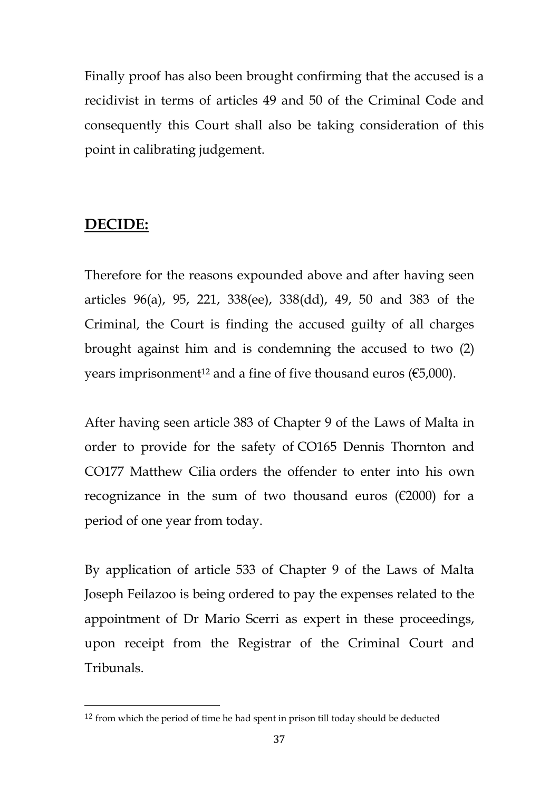Finally proof has also been brought confirming that the accused is a recidivist in terms of articles 49 and 50 of the Criminal Code and consequently this Court shall also be taking consideration of this point in calibrating judgement.

#### **DECIDE:**

 $\overline{\phantom{a}}$ 

Therefore for the reasons expounded above and after having seen articles 96(a), 95, 221, 338(ee), 338(dd), 49, 50 and 383 of the Criminal, the Court is finding the accused guilty of all charges brought against him and is condemning the accused to two (2) years imprisonment<sup>12</sup> and a fine of five thousand euros ( $€5,000$ ).

After having seen article 383 of Chapter 9 of the Laws of Malta in order to provide for the safety of CO165 Dennis Thornton and CO177 Matthew Cilia orders the offender to enter into his own recognizance in the sum of two thousand euros ( $\epsilon$ 2000) for a period of one year from today.

By application of article 533 of Chapter 9 of the Laws of Malta Joseph Feilazoo is being ordered to pay the expenses related to the appointment of Dr Mario Scerri as expert in these proceedings, upon receipt from the Registrar of the Criminal Court and Tribunals.

<sup>12</sup> from which the period of time he had spent in prison till today should be deducted